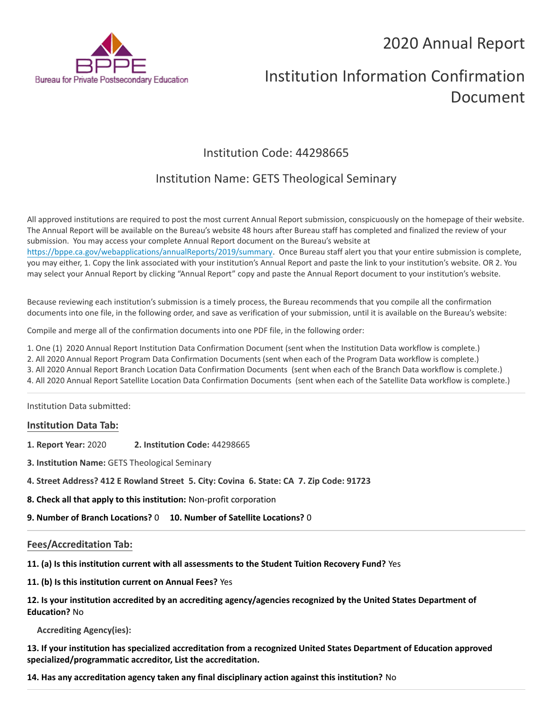# 2020 Annual Report



# Institution Information Confirmation Document

# Institution Code: 44298665

## Institution Name: GETS Theological Seminary

All approved institutions are required to post the most current Annual Report submission, conspicuously on the homepage of their website. The Annual Report will be available on the Bureau's website 48 hours after Bureau staff has completed and finalized the review of your submission. You may access your complete Annual Report document on the Bureau's website at <https://bppe.ca.gov/webapplications/annualReports/2019/summary>. Once Bureau staff alert you that your entire submission is complete, you may either, 1. Copy the link associated with your institution's Annual Report and paste the link to your institution's website. OR 2. You may select your Annual Report by clicking "Annual Report" copy and paste the Annual Report document to your institution's website.

Because reviewing each institution's submission is a timely process, the Bureau recommends that you compile all the confirmation documents into one file, in the following order, and save as verification of your submission, until it is available on the Bureau's website:

Compile and merge all of the confirmation documents into one PDF file, in the following order:

1. One (1) 2020 Annual Report Institution Data Confirmation Document (sent when the Institution Data workflow is complete.)

2. All 2020 Annual Report Program Data Confirmation Documents (sent when each of the Program Data workflow is complete.)

3. All 2020 Annual Report Branch Location Data Confirmation Documents (sent when each of the Branch Data workflow is complete.)

4. All 2020 Annual Report Satellite Location Data Confirmation Documents (sent when each of the Satellite Data workflow is complete.)

Institution Data submitted:

#### **Institution Data Tab:**

- **1. Report Year:** 2020 **2. Institution Code:** 44298665
- **3. Institution Name:** GETS Theological Seminary
- **4. Street Address? 412 E Rowland Street 5. City: Covina 6. State: CA 7. Zip Code: 91723**
- **8. Check all that apply to this institution:** Non-profit corporation
- **9. Number of Branch Locations?** 0 **10. Number of Satellite Locations?** 0

## **Fees/Accreditation Tab:**

**11. (a) Is this institution current with all assessments to the Student Tuition Recovery Fund?** Yes

**11. (b) Is this institution current on Annual Fees?** Yes

| 12. Is your institution accredited by an accrediting agency/agencies recognized by the United States Department of |
|--------------------------------------------------------------------------------------------------------------------|
| <b>Education? No</b>                                                                                               |

**Accrediting Agency(ies):**

**13. If your institution has specialized accreditation from a recognized United States Department of Education approved specialized/programmatic accreditor, List the accreditation.**

**14. Has any accreditation agency taken any final disciplinary action against this institution?** No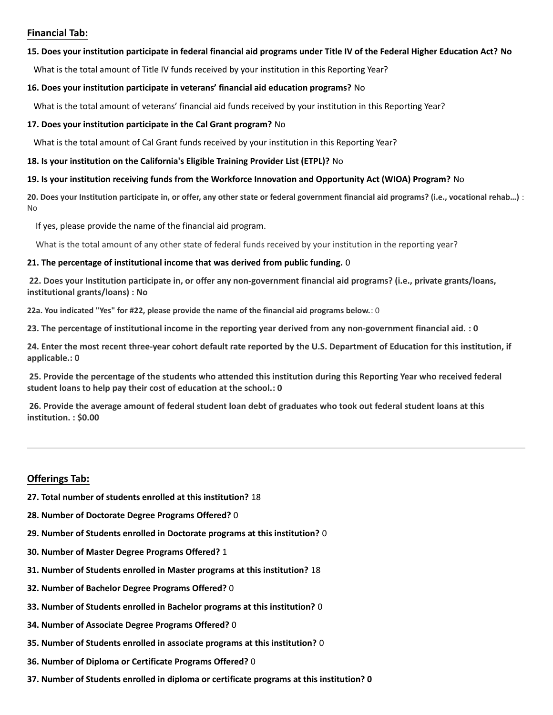### **Financial Tab:**

#### **15. Does your institution participate in federal financial aid programs under Title IV of the Federal Higher Education Act? No**

What is the total amount of Title IV funds received by your institution in this Reporting Year?

#### **16. Does your institution participate in veterans' financial aid education programs?** No

What is the total amount of veterans' financial aid funds received by your institution in this Reporting Year?

#### **17. Does your institution participate in the Cal Grant program?** No

What is the total amount of Cal Grant funds received by your institution in this Reporting Year?

#### **18. Is your institution on the California's Eligible Training Provider List (ETPL)?** No

#### **19. Is your institution receiving funds from the Workforce Innovation and Opportunity Act (WIOA) Program?** No

**20. Does your Institution participate in, or offer, any other state or federal government financial aid programs? (i.e., vocational rehab…)** : No

If yes, please provide the name of the financial aid program.

What is the total amount of any other state of federal funds received by your institution in the reporting year?

#### **21. The percentage of institutional income that was derived from public funding.** 0

**22. Does your Institution participate in, or offer any non-government financial aid programs? (i.e., private grants/loans, institutional grants/loans) : No**

**22a. You indicated "Yes" for #22, please provide the name of the financial aid programs below.**: 0

**23. The percentage of institutional income in the reporting year derived from any non-government financial aid. : 0**

**24. Enter the most recent three-year cohort default rate reported by the U.S. Department of Education for this institution, if applicable.: 0**

**25. Provide the percentage of the students who attended this institution during this Reporting Year who received federal student loans to help pay their cost of education at the school.: 0**

**26. Provide the average amount of federal student loan debt of graduates who took out federal student loans at this institution. : \$0.00**

## **Offerings Tab:**

- **27. Total number of students enrolled at this institution?** 18
- **28. Number of Doctorate Degree Programs Offered?** 0
- **29. Number of Students enrolled in Doctorate programs at this institution?** 0
- **30. Number of Master Degree Programs Offered?** 1
- **31. Number of Students enrolled in Master programs at this institution?** 18
- **32. Number of Bachelor Degree Programs Offered?** 0
- **33. Number of Students enrolled in Bachelor programs at this institution?** 0
- **34. Number of Associate Degree Programs Offered?** 0
- **35. Number of Students enrolled in associate programs at this institution?** 0
- **36. Number of Diploma or Certificate Programs Offered?** 0
- **37. Number of Students enrolled in diploma or certificate programs at this institution? 0**